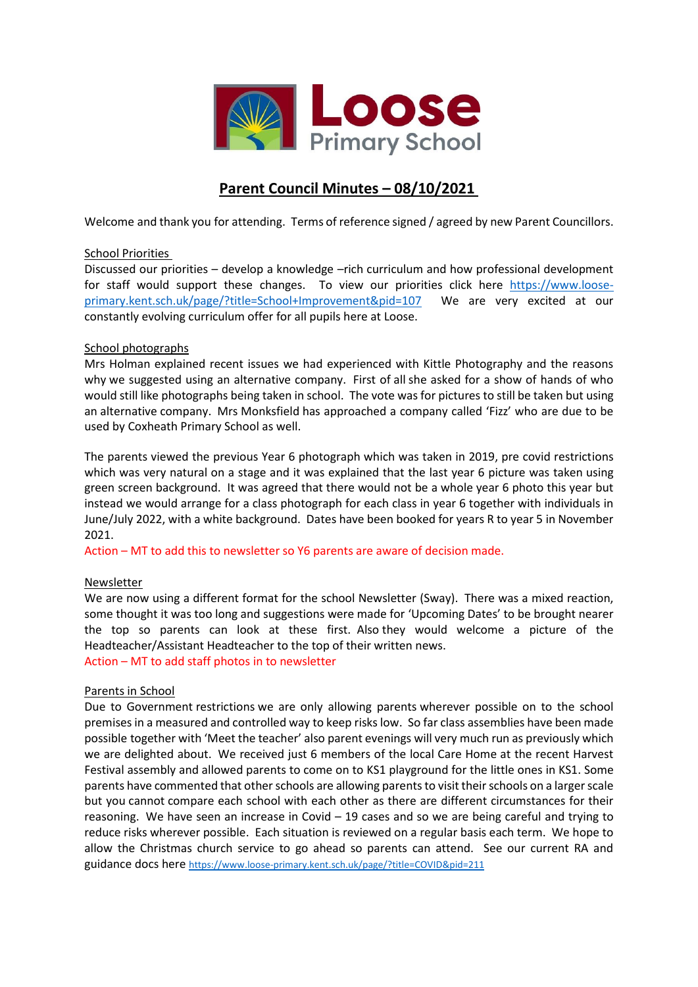

# **Parent Council Minutes – 08/10/2021**

Welcome and thank you for attending. Terms of reference signed / agreed by new Parent Councillors.

# School Priorities

Discussed our priorities – develop a knowledge –rich curriculum and how professional development for staff would support these changes. To view our priorities click here [https://www.loose](https://www.loose-primary.kent.sch.uk/page/?title=School+Improvement&pid=107)[primary.kent.sch.uk/page/?title=School+Improvement&pid=107](https://www.loose-primary.kent.sch.uk/page/?title=School+Improvement&pid=107) We are very excited at our constantly evolving curriculum offer for all pupils here at Loose.

# School photographs

Mrs Holman explained recent issues we had experienced with Kittle Photography and the reasons why we suggested using an alternative company. First of all she asked for a show of hands of who would still like photographs being taken in school. The vote was for pictures to still be taken but using an alternative company. Mrs Monksfield has approached a company called 'Fizz' who are due to be used by Coxheath Primary School as well.

The parents viewed the previous Year 6 photograph which was taken in 2019, pre covid restrictions which was very natural on a stage and it was explained that the last year 6 picture was taken using green screen background. It was agreed that there would not be a whole year 6 photo this year but instead we would arrange for a class photograph for each class in year 6 together with individuals in June/July 2022, with a white background. Dates have been booked for years R to year 5 in November 2021.

Action – MT to add this to newsletter so Y6 parents are aware of decision made.

# Newsletter

We are now using a different format for the school Newsletter (Sway). There was a mixed reaction, some thought it was too long and suggestions were made for 'Upcoming Dates' to be brought nearer the top so parents can look at these first. Also they would welcome a picture of the Headteacher/Assistant Headteacher to the top of their written news. Action – MT to add staff photos in to newsletter

### Parents in School

Due to Government restrictions we are only allowing parents wherever possible on to the school premises in a measured and controlled way to keep risks low. So far class assemblies have been made possible together with 'Meet the teacher' also parent evenings will very much run as previously which we are delighted about. We received just 6 members of the local Care Home at the recent Harvest Festival assembly and allowed parents to come on to KS1 playground for the little ones in KS1. Some parents have commented that other schools are allowing parents to visit their schools on a larger scale but you cannot compare each school with each other as there are different circumstances for their reasoning. We have seen an increase in Covid – 19 cases and so we are being careful and trying to reduce risks wherever possible. Each situation is reviewed on a regular basis each term. We hope to allow the Christmas church service to go ahead so parents can attend. See our current RA and guidance docs here <https://www.loose-primary.kent.sch.uk/page/?title=COVID&pid=211>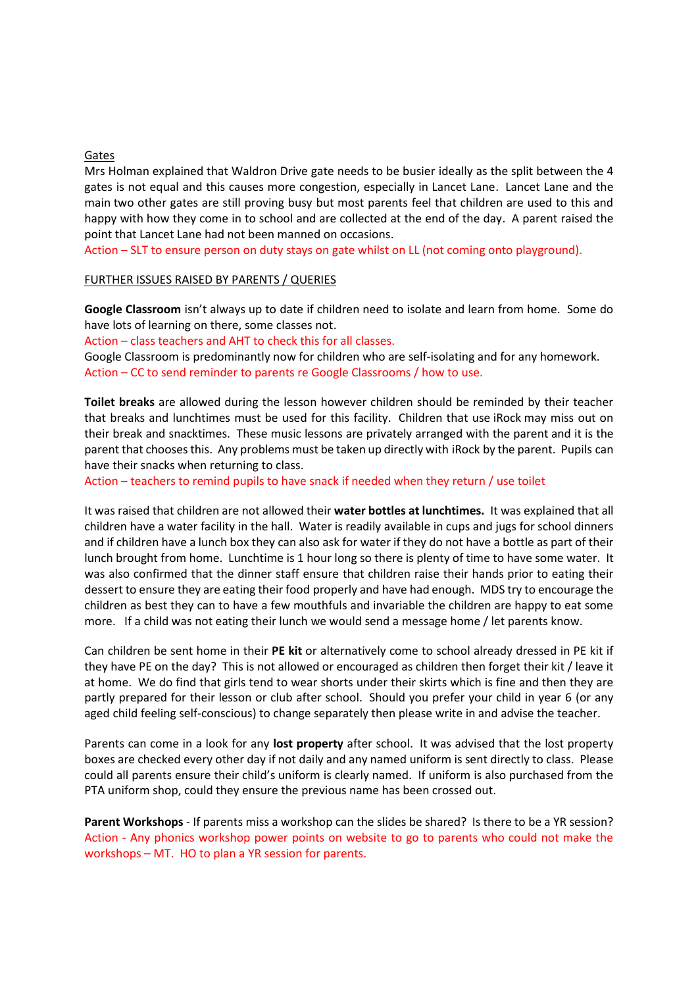#### Gates

Mrs Holman explained that Waldron Drive gate needs to be busier ideally as the split between the 4 gates is not equal and this causes more congestion, especially in Lancet Lane. Lancet Lane and the main two other gates are still proving busy but most parents feel that children are used to this and happy with how they come in to school and are collected at the end of the day. A parent raised the point that Lancet Lane had not been manned on occasions.

Action – SLT to ensure person on duty stays on gate whilst on LL (not coming onto playground).

#### FURTHER ISSUES RAISED BY PARENTS / QUERIES

**Google Classroom** isn't always up to date if children need to isolate and learn from home. Some do have lots of learning on there, some classes not.

Action – class teachers and AHT to check this for all classes.

Google Classroom is predominantly now for children who are self-isolating and for any homework. Action – CC to send reminder to parents re Google Classrooms / how to use.

**Toilet breaks** are allowed during the lesson however children should be reminded by their teacher that breaks and lunchtimes must be used for this facility. Children that use iRock may miss out on their break and snacktimes. These music lessons are privately arranged with the parent and it is the parent that chooses this. Any problems must be taken up directly with iRock by the parent. Pupils can have their snacks when returning to class.

Action – teachers to remind pupils to have snack if needed when they return / use toilet

It was raised that children are not allowed their **water bottles at lunchtimes.** It was explained that all children have a water facility in the hall. Water is readily available in cups and jugs for school dinners and if children have a lunch box they can also ask for water if they do not have a bottle as part of their lunch brought from home. Lunchtime is 1 hour long so there is plenty of time to have some water. It was also confirmed that the dinner staff ensure that children raise their hands prior to eating their dessert to ensure they are eating their food properly and have had enough. MDS try to encourage the children as best they can to have a few mouthfuls and invariable the children are happy to eat some more. If a child was not eating their lunch we would send a message home / let parents know.

Can children be sent home in their **PE kit** or alternatively come to school already dressed in PE kit if they have PE on the day? This is not allowed or encouraged as children then forget their kit / leave it at home. We do find that girls tend to wear shorts under their skirts which is fine and then they are partly prepared for their lesson or club after school. Should you prefer your child in year 6 (or any aged child feeling self-conscious) to change separately then please write in and advise the teacher.

Parents can come in a look for any **lost property** after school. It was advised that the lost property boxes are checked every other day if not daily and any named uniform is sent directly to class. Please could all parents ensure their child's uniform is clearly named. If uniform is also purchased from the PTA uniform shop, could they ensure the previous name has been crossed out.

**Parent Workshops** - If parents miss a workshop can the slides be shared? Is there to be a YR session? Action - Any phonics workshop power points on website to go to parents who could not make the workshops – MT. HO to plan a YR session for parents.